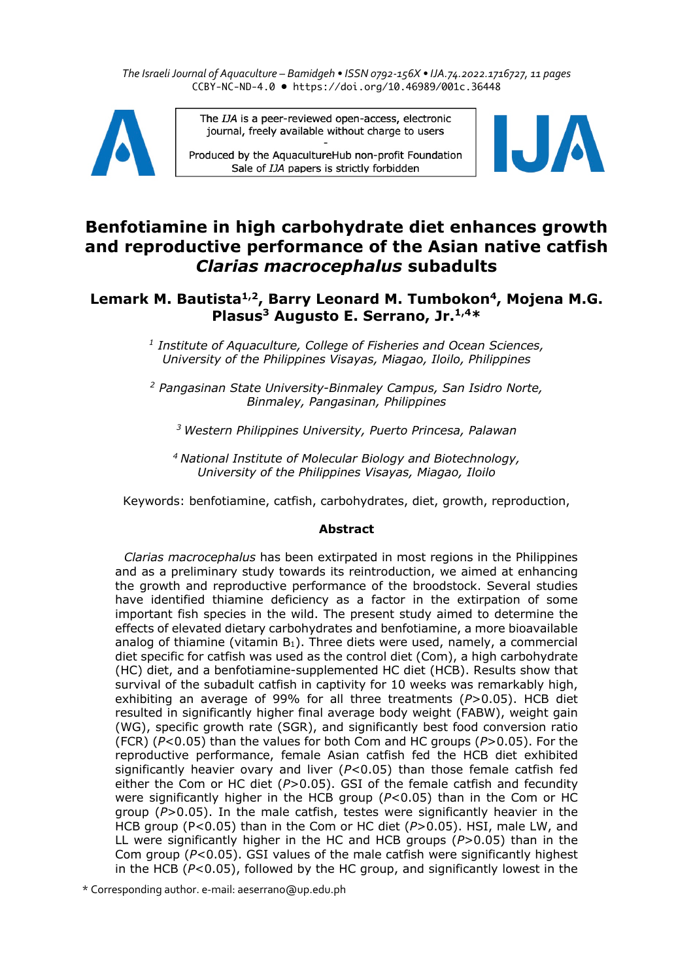*The Israeli Journal of Aquaculture – Bamidgeh • ISSN 0792-156X • IJA.74.2022.1716727, 11 pages* CCBY-NC-ND-4.0 • https://doi.org/10.46989/001c.36448



The IJA is a peer-reviewed open-access, electronic journal, freely available without charge to users

Produced by the AquacultureHub non-profit Foundation Sale of IJA papers is strictly forbidden



# **Benfotiamine in high carbohydrate diet enhances growth and reproductive performance of the Asian native catfish**  *Clarias macrocephalus* **subadults**

## Lemark M. Bautista<sup>1,2</sup>, Barry Leonard M. Tumbokon<sup>4</sup>, Mojena M.G. **Plasus3 Augusto E. Serrano, Jr.1,4\***

*<sup>1</sup> Institute of Aquaculture, College of Fisheries and Ocean Sciences, University of the Philippines Visayas, Miagao, Iloilo, Philippines*

*<sup>2</sup> Pangasinan State University-Binmaley Campus, San Isidro Norte, Binmaley, Pangasinan, Philippines*

*<sup>3</sup> Western Philippines University, Puerto Princesa, Palawan*

*<sup>4</sup> National Institute of Molecular Biology and Biotechnology, University of the Philippines Visayas, Miagao, Iloilo*

Keywords: benfotiamine, catfish, carbohydrates, diet, growth, reproduction,

## **Abstract**

*Clarias macrocephalus* has been extirpated in most regions in the Philippines and as a preliminary study towards its reintroduction, we aimed at enhancing the growth and reproductive performance of the broodstock. Several studies have identified thiamine deficiency as a factor in the extirpation of some important fish species in the wild. The present study aimed to determine the effects of elevated dietary carbohydrates and benfotiamine, a more bioavailable analog of thiamine (vitamin  $B_1$ ). Three diets were used, namely, a commercial diet specific for catfish was used as the control diet (Com), a high carbohydrate (HC) diet, and a benfotiamine-supplemented HC diet (HCB). Results show that survival of the subadult catfish in captivity for 10 weeks was remarkably high, exhibiting an average of 99% for all three treatments (*P*>0.05). HCB diet resulted in significantly higher final average body weight (FABW), weight gain (WG), specific growth rate (SGR), and significantly best food conversion ratio (FCR) (*P*<0.05) than the values for both Com and HC groups (*P*>0.05). For the reproductive performance, female Asian catfish fed the HCB diet exhibited significantly heavier ovary and liver (*P*<0.05) than those female catfish fed either the Com or HC diet  $(P>0.05)$ . GSI of the female catfish and fecundity were significantly higher in the HCB group (*P*<0.05) than in the Com or HC group (*P*>0.05). In the male catfish, testes were significantly heavier in the HCB group (P<0.05) than in the Com or HC diet (*P*>0.05). HSI, male LW, and LL were significantly higher in the HC and HCB groups (*P*>0.05) than in the Com group (*P*<0.05). GSI values of the male catfish were significantly highest in the HCB (*P*<0.05), followed by the HC group, and significantly lowest in the

\* Corresponding author. e-mail: aeserrano@up.edu.ph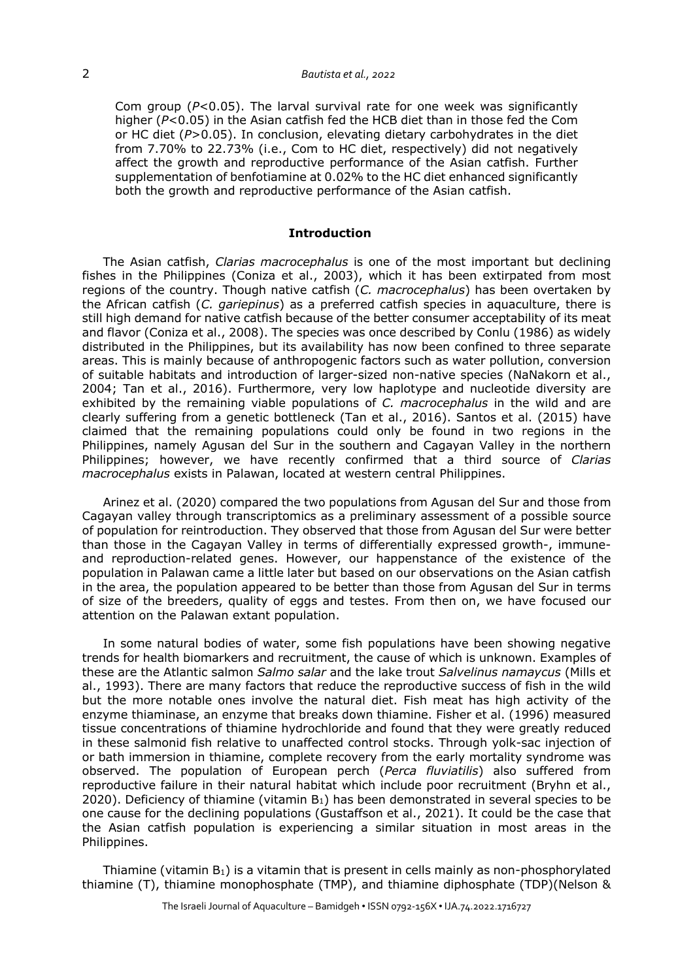## 2 *Bautista et al., 2022*

Com group (*P*<0.05). The larval survival rate for one week was significantly higher (*P*<0.05) in the Asian catfish fed the HCB diet than in those fed the Com or HC diet (*P*>0.05). In conclusion, elevating dietary carbohydrates in the diet from 7.70% to 22.73% (i.e., Com to HC diet, respectively) did not negatively affect the growth and reproductive performance of the Asian catfish. Further supplementation of benfotiamine at 0.02% to the HC diet enhanced significantly both the growth and reproductive performance of the Asian catfish.

### **Introduction**

The Asian catfish, *Clarias macrocephalus* is one of the most important but declining fishes in the Philippines (Coniza et al., 2003), which it has been extirpated from most regions of the country. Though native catfish (*C. macrocephalus*) has been overtaken by the African catfish (*C. gariepinus*) as a preferred catfish species in aquaculture, there is still high demand for native catfish because of the better consumer acceptability of its meat and flavor (Coniza et al., 2008). The species was once described by Conlu (1986) as widely distributed in the Philippines, but its availability has now been confined to three separate areas. This is mainly because of anthropogenic factors such as water pollution, conversion of suitable habitats and introduction of larger-sized non-native species (NaNakorn et al., 2004; Tan et al., 2016). Furthermore, very low haplotype and nucleotide diversity are exhibited by the remaining viable populations of *C. macrocephalus* in the wild and are clearly suffering from a genetic bottleneck (Tan et al., 2016). Santos et al. (2015) have claimed that the remaining populations could only be found in two regions in the Philippines, namely Agusan del Sur in the southern and Cagayan Valley in the northern Philippines; however, we have recently confirmed that a third source of *Clarias macrocephalus* exists in Palawan, located at western central Philippines.

Arinez et al. (2020) compared the two populations from Agusan del Sur and those from Cagayan valley through transcriptomics as a preliminary assessment of a possible source of population for reintroduction. They observed that those from Agusan del Sur were better than those in the Cagayan Valley in terms of differentially expressed growth-, immuneand reproduction-related genes. However, our happenstance of the existence of the population in Palawan came a little later but based on our observations on the Asian catfish in the area, the population appeared to be better than those from Agusan del Sur in terms of size of the breeders, quality of eggs and testes. From then on, we have focused our attention on the Palawan extant population.

In some natural bodies of water, some fish populations have been showing negative trends for health biomarkers and recruitment, the cause of which is unknown. Examples of these are the Atlantic salmon *Salmo salar* and the lake trout *Salvelinus namaycus* (Mills et al., 1993). There are many factors that reduce the reproductive success of fish in the wild but the more notable ones involve the natural diet. Fish meat has high activity of the enzyme thiaminase, an enzyme that breaks down thiamine. Fisher et al. (1996) measured tissue concentrations of thiamine hydrochloride and found that they were greatly reduced in these salmonid fish relative to unaffected control stocks. Through yolk-sac injection of or bath immersion in thiamine, complete recovery from the early mortality syndrome was observed. The population of European perch (*Perca fluviatilis*) also suffered from reproductive failure in their natural habitat which include poor recruitment (Bryhn et al., 2020). Deficiency of thiamine (vitamin  $B_1$ ) has been demonstrated in several species to be one cause for the declining populations (Gustaffson et al., 2021). It could be the case that the Asian catfish population is experiencing a similar situation in most areas in the Philippines.

Thiamine (vitamin  $B_1$ ) is a vitamin that is present in cells mainly as non-phosphorylated thiamine (T), thiamine monophosphate (TMP), and thiamine diphosphate (TDP)(Nelson &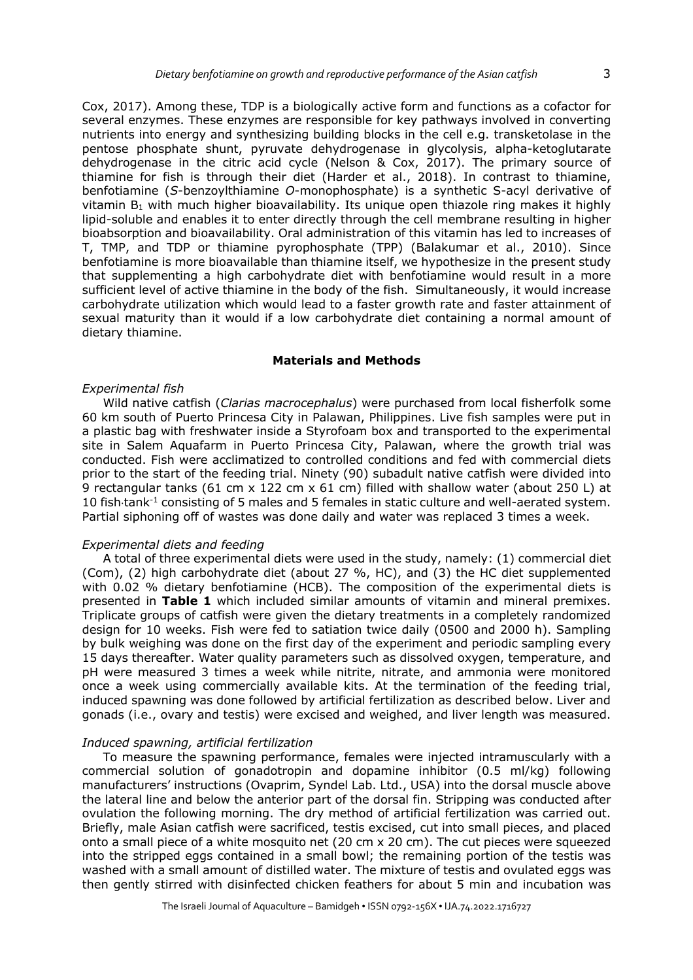Cox, 2017). Among these, TDP is a biologically active form and functions as a cofactor for several enzymes. These enzymes are responsible for key pathways involved in converting nutrients into energy and synthesizing building blocks in the cell e.g. transketolase in the pentose phosphate shunt, pyruvate dehydrogenase in glycolysis, alpha-ketoglutarate dehydrogenase in the citric acid cycle (Nelson & Cox, 2017). The primary source of thiamine for fish is through their diet (Harder et al., 2018). In contrast to thiamine, benfotiamine (*S*-benzoylthiamine *O*-monophosphate) is a synthetic S-acyl derivative of vitamin B1 with much higher bioavailability. Its unique open thiazole ring makes it highly lipid-soluble and enables it to enter directly through the cell membrane resulting in higher bioabsorption and bioavailability. Oral administration of this vitamin has led to increases of T, TMP, and TDP or thiamine pyrophosphate (TPP) (Balakumar et al., 2010). Since benfotiamine is more bioavailable than thiamine itself, we hypothesize in the present study that supplementing a high carbohydrate diet with benfotiamine would result in a more sufficient level of active thiamine in the body of the fish. Simultaneously, it would increase carbohydrate utilization which would lead to a faster growth rate and faster attainment of sexual maturity than it would if a low carbohydrate diet containing a normal amount of dietary thiamine.

#### **Materials and Methods**

## *Experimental fish*

Wild native catfish (*Clarias macrocephalus*) were purchased from local fisherfolk some 60 km south of Puerto Princesa City in Palawan, Philippines. Live fish samples were put in a plastic bag with freshwater inside a Styrofoam box and transported to the experimental site in Salem Aquafarm in Puerto Princesa City, Palawan, where the growth trial was conducted. Fish were acclimatized to controlled conditions and fed with commercial diets prior to the start of the feeding trial. Ninety (90) subadult native catfish were divided into 9 rectangular tanks (61 cm x 122 cm x 61 cm) filled with shallow water (about 250 L) at 10 fish tank<sup>-1</sup> consisting of 5 males and 5 females in static culture and well-aerated system. Partial siphoning off of wastes was done daily and water was replaced 3 times a week.

#### *Experimental diets and feeding*

A total of three experimental diets were used in the study, namely: (1) commercial diet (Com), (2) high carbohydrate diet (about 27 %, HC), and (3) the HC diet supplemented with 0.02 % dietary benfotiamine (HCB). The composition of the experimental diets is presented in **Table 1** which included similar amounts of vitamin and mineral premixes. Triplicate groups of catfish were given the dietary treatments in a completely randomized design for 10 weeks. Fish were fed to satiation twice daily (0500 and 2000 h). Sampling by bulk weighing was done on the first day of the experiment and periodic sampling every 15 days thereafter. Water quality parameters such as dissolved oxygen, temperature, and pH were measured 3 times a week while nitrite, nitrate, and ammonia were monitored once a week using commercially available kits. At the termination of the feeding trial, induced spawning was done followed by artificial fertilization as described below. Liver and gonads (i.e., ovary and testis) were excised and weighed, and liver length was measured.

#### *Induced spawning, artificial fertilization*

To measure the spawning performance, females were injected intramuscularly with a commercial solution of gonadotropin and dopamine inhibitor (0.5 ml/kg) following manufacturers' instructions (Ovaprim, Syndel Lab. Ltd., USA) into the dorsal muscle above the lateral line and below the anterior part of the dorsal fin. Stripping was conducted after ovulation the following morning. The dry method of artificial fertilization was carried out. Briefly, male Asian catfish were sacrificed, testis excised, cut into small pieces, and placed onto a small piece of a white mosquito net (20 cm  $\times$  20 cm). The cut pieces were squeezed into the stripped eggs contained in a small bowl; the remaining portion of the testis was washed with a small amount of distilled water. The mixture of testis and ovulated eggs was then gently stirred with disinfected chicken feathers for about 5 min and incubation was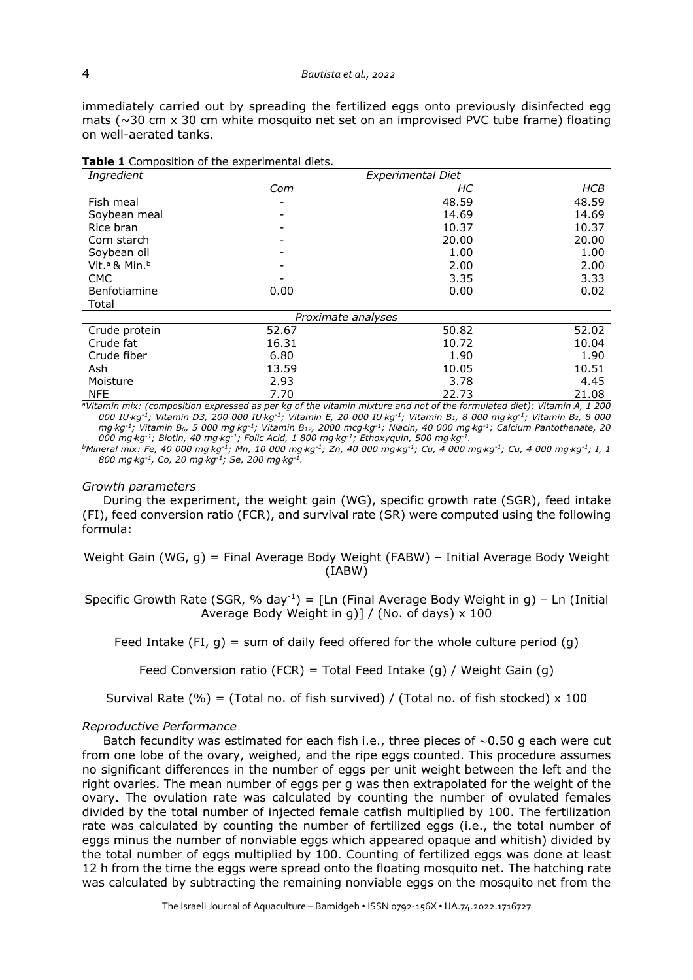immediately carried out by spreading the fertilized eggs onto previously disinfected egg mats ( $\sim$ 30 cm x 30 cm white mosquito net set on an improvised PVC tube frame) floating on well-aerated tanks.

| Ingredient                            |                    | <b>Experimental Diet</b> |            |
|---------------------------------------|--------------------|--------------------------|------------|
|                                       | Com                | HС                       | <b>HCB</b> |
| Fish meal                             |                    | 48.59                    | 48.59      |
| Soybean meal                          | -                  | 14.69                    | 14.69      |
| Rice bran                             |                    | 10.37                    | 10.37      |
| Corn starch                           |                    | 20.00                    | 20.00      |
| Soybean oil                           |                    | 1.00                     | 1.00       |
| Vit. <sup>a</sup> & Min. <sup>b</sup> |                    | 2.00                     | 2.00       |
| <b>CMC</b>                            |                    | 3.35                     | 3.33       |
| Benfotiamine                          | 0.00               | 0.00                     | 0.02       |
| Total                                 |                    |                          |            |
|                                       | Proximate analyses |                          |            |
| Crude protein                         | 52.67              | 50.82                    | 52.02      |
| Crude fat                             | 16.31              | 10.72                    | 10.04      |
| Crude fiber                           | 6.80               | 1.90                     | 1.90       |
| Ash                                   | 13.59              | 10.05                    | 10.51      |
| Moisture                              | 2.93               | 3.78                     | 4.45       |
| <b>NFE</b>                            | 7.70               | 22.73                    | 21.08      |

| Table 1 Composition of the experimental diets. |
|------------------------------------------------|
|------------------------------------------------|

*aVitamin mix: (composition expressed as per kg of the vitamin mixture and not of the formulated diet): Vitamin A, 1 200 000 IU*×*kg-1; Vitamin D3, 200 000 IU*×*kg-1; Vitamin E, 20 000 IU*×*kg-1; Vitamin B1, 8 000 mg*×*kg-1; Vitamin B2, 8 000 mg*×*kg-1; Vitamin B6, 5 000 mg*×*kg-1; Vitamin B12, 2000 mcg*×*kg-1; Niacin, 40 000 mg*×*kg-1; Calcium Pantothenate, 20 000 mg*×*kg-1; Biotin, 40 mg*×*kg-1; Folic Acid, 1 800 mg*×*kg-1; Ethoxyquin, 500 mg*×*kg-1.*

*bMineral mix: Fe, 40 000 mg*×*kg-1; Mn, 10 000 mg*×*kg-1; Zn, 40 000 mg*×*kg-1; Cu, 4 000 mg*×*kg-1; Cu, 4 000 mg*×*kg-1; I, 1 800 mg*×*kg-1, Co, 20 mg*×*kg-1; Se, 200 mg*×*kg-1.*

#### *Growth parameters*

During the experiment, the weight gain (WG), specific growth rate (SGR), feed intake (FI), feed conversion ratio (FCR), and survival rate (SR) were computed using the following formula:

Weight Gain (WG, g) = Final Average Body Weight (FABW) – Initial Average Body Weight (IABW)

Specific Growth Rate (SGR, % day<sup>-1</sup>) = [Ln (Final Average Body Weight in g) – Ln (Initial Average Body Weight in g)] / (No. of days) x 100

Feed Intake (FI, g) = sum of daily feed offered for the whole culture period (g)

Feed Conversion ratio (FCR) = Total Feed Intake (q) / Weight Gain (q)

Survival Rate (%) = (Total no. of fish survived) / (Total no. of fish stocked)  $\times$  100

#### *Reproductive Performance*

Batch fecundity was estimated for each fish i.e., three pieces of ∼0.50 g each were cut from one lobe of the ovary, weighed, and the ripe eggs counted. This procedure assumes no significant differences in the number of eggs per unit weight between the left and the right ovaries. The mean number of eggs per g was then extrapolated for the weight of the ovary. The ovulation rate was calculated by counting the number of ovulated females divided by the total number of injected female catfish multiplied by 100. The fertilization rate was calculated by counting the number of fertilized eggs (i.e., the total number of eggs minus the number of nonviable eggs which appeared opaque and whitish) divided by the total number of eggs multiplied by 100. Counting of fertilized eggs was done at least 12 h from the time the eggs were spread onto the floating mosquito net. The hatching rate was calculated by subtracting the remaining nonviable eggs on the mosquito net from the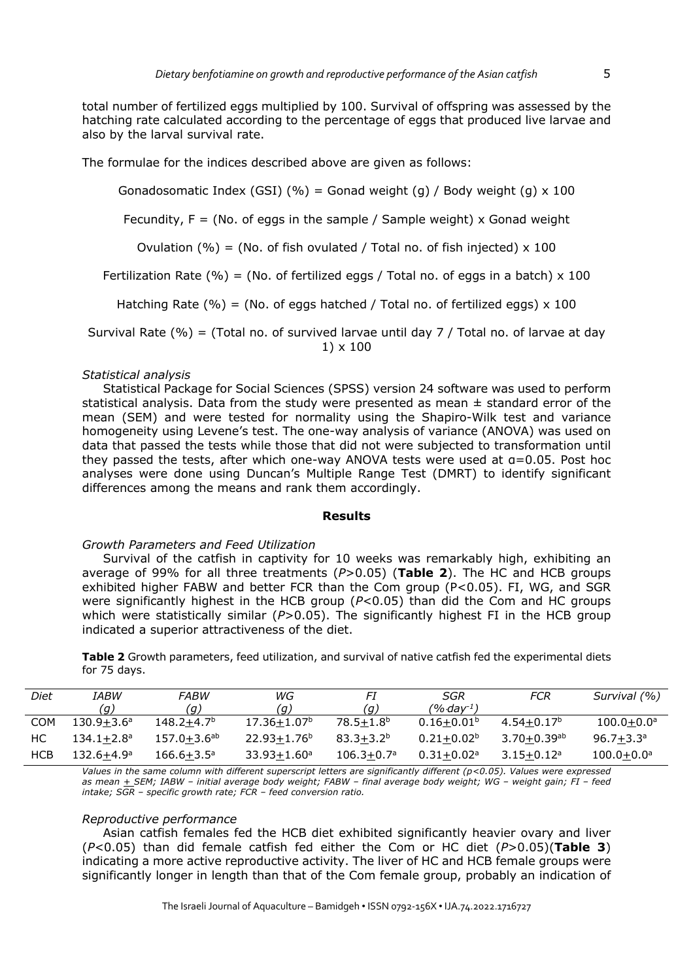total number of fertilized eggs multiplied by 100. Survival of offspring was assessed by the hatching rate calculated according to the percentage of eggs that produced live larvae and also by the larval survival rate.

The formulae for the indices described above are given as follows:

Gonadosomatic Index (GSI) (%) = Gonad weight (g) / Body weight (g)  $\times$  100

Fecundity,  $F = (No. of eqqs in the sample / Sample weight) \times Gonad weight$ 

Ovulation (%) = (No. of fish ovulated / Total no. of fish injected)  $\times$  100

Fertilization Rate (%) = (No. of fertilized eggs / Total no. of eggs in a batch)  $\times$  100

Hatching Rate (%) = (No. of eggs hatched / Total no. of fertilized eggs)  $\times$  100

Survival Rate (%) = (Total no. of survived larvae until day 7 / Total no. of larvae at day 1) x 100

## *Statistical analysis*

Statistical Package for Social Sciences (SPSS) version 24 software was used to perform statistical analysis. Data from the study were presented as mean  $\pm$  standard error of the mean (SEM) and were tested for normality using the Shapiro-Wilk test and variance homogeneity using Levene's test. The one-way analysis of variance (ANOVA) was used on data that passed the tests while those that did not were subjected to transformation until they passed the tests, after which one-way ANOVA tests were used at α=0.05. Post hoc analyses were done using Duncan's Multiple Range Test (DMRT) to identify significant differences among the means and rank them accordingly.

## **Results**

## *Growth Parameters and Feed Utilization*

Survival of the catfish in captivity for 10 weeks was remarkably high, exhibiting an average of 99% for all three treatments (*P*>0.05) (**Table 2**). The HC and HCB groups exhibited higher FABW and better FCR than the Com group (P<0.05). FI, WG, and SGR were significantly highest in the HCB group (*P*<0.05) than did the Com and HC groups which were statistically similar (*P*>0.05). The significantly highest FI in the HCB group indicated a superior attractiveness of the diet.

**Table 2** Growth parameters, feed utilization, and survival of native catfish fed the experimental diets for 75 days.

| Diet       | IABW                  | FABW               | WG                       | Fl             | SGR             | FCR                         | Survival (%)          |
|------------|-----------------------|--------------------|--------------------------|----------------|-----------------|-----------------------------|-----------------------|
|            | (g)                   | (q)                | (q)                      | (g)            | (% day $^1)$    |                             |                       |
| <b>COM</b> | $130.9 + 3.6^{\circ}$ | $148.2 + 4.7b$     | $17.36 \pm 1.07^{\circ}$ | $78.5 + 1.8b$  | $0.16 + 0.01b$  | $4.54 + 0.17^b$             | $100.0 + 0.0^{\circ}$ |
| HС         | $134.1 + 2.8^a$       | $157.0 + 3.6^{ab}$ | $22.93 + 1.76^b$         | $83.3 + 3.2b$  | $0.21 + 0.02^b$ | $3.70 + 0.39$ <sup>ab</sup> | $96.7 + 3.3a$         |
| HCB        | $132.6 + 4.9a$        | $166.6 + 3.5^a$    | $33.93 + 1.60^a$         | $106.3 + 0.7a$ | $0.31 + 0.02$ a | $3.15 + 0.12$ <sup>a</sup>  | $100.0 + 0.0^a$       |

*Values in the same column with different superscript letters are significantly different (p<0.05). Values were expressed as mean + SEM; IABW – initial average body weight; FABW – final average body weight; WG – weight gain; FI – feed intake; SGR – specific growth rate; FCR – feed conversion ratio.*

## *Reproductive performance*

Asian catfish females fed the HCB diet exhibited significantly heavier ovary and liver (*P*<0.05) than did female catfish fed either the Com or HC diet (*P*>0.05)(**Table 3**) indicating a more active reproductive activity. The liver of HC and HCB female groups were significantly longer in length than that of the Com female group, probably an indication of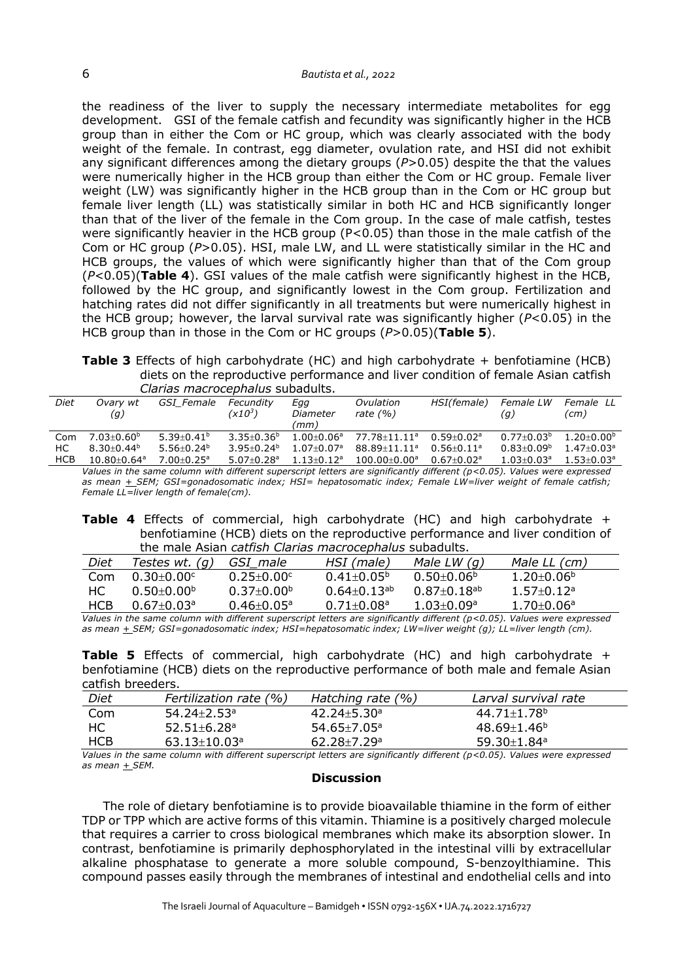the readiness of the liver to supply the necessary intermediate metabolites for egg development. GSI of the female catfish and fecundity was significantly higher in the HCB group than in either the Com or HC group, which was clearly associated with the body weight of the female. In contrast, egg diameter, ovulation rate, and HSI did not exhibit any significant differences among the dietary groups (*P*>0.05) despite the that the values were numerically higher in the HCB group than either the Com or HC group. Female liver weight (LW) was significantly higher in the HCB group than in the Com or HC group but female liver length (LL) was statistically similar in both HC and HCB significantly longer than that of the liver of the female in the Com group. In the case of male catfish, testes were significantly heavier in the HCB group (P<0.05) than those in the male catfish of the Com or HC group (*P*>0.05). HSI, male LW, and LL were statistically similar in the HC and HCB groups, the values of which were significantly higher than that of the Com group (*P*<0.05)(**Table 4**). GSI values of the male catfish were significantly highest in the HCB, followed by the HC group, and significantly lowest in the Com group. Fertilization and hatching rates did not differ significantly in all treatments but were numerically highest in the HCB group; however, the larval survival rate was significantly higher (*P*<0.05) in the HCB group than in those in the Com or HC groups (*P*>0.05)(**Table 5**).

**Table 3** Effects of high carbohydrate (HC) and high carbohydrate + benfotiamine (HCB) diets on the reproductive performance and liver condition of female Asian catfish *Clarias macrocephalus* subadults.

|            | Clarias ThacTocephalus subduuts. |                            |                                  |                            |                                                                                                                      |                            |                            |                            |
|------------|----------------------------------|----------------------------|----------------------------------|----------------------------|----------------------------------------------------------------------------------------------------------------------|----------------------------|----------------------------|----------------------------|
| Diet       | Ovarv wt<br>(g)                  | GSI Female                 | Fecundity<br>(x10 <sup>3</sup> ) | Egg<br>Diameter<br>(mm)    | Ovulation<br>rate $(% )$                                                                                             | HSI(female)                | Female LW<br>(g)           | Female LL<br>(cm)          |
| Com        | $7.03 + 0.60^b$                  | $5.39 + 0.41^b$            | $3.35 + 0.36^b$                  | $1.00 + 0.06^a$            | $77.78 + 11.11$ <sup>a</sup>                                                                                         | $0.59 + 0.02$ <sup>a</sup> | $0.77+0.03b$               | $1.20 + 0.00^b$            |
| НC         | $8.30 + 0.44^b$                  | $5.56 + 0.24^b$            | $3.95 + 0.24^b$                  | $1.07 + 0.07$ <sup>a</sup> | 88.89+11.11 <sup>a</sup>                                                                                             | $0.56 + 0.11$ <sup>a</sup> | $0.83 + 0.09^b$            | $1.47 + 0.03a$             |
| <b>HCB</b> | $10.80 + 0.64$ <sup>a</sup>      | $7.00 + 0.25$ <sup>a</sup> | $5.07 + 0.28$ <sup>a</sup>       | $1.13 + 0.12$ <sup>a</sup> | $100.00 + 0.00$ <sup>a</sup>                                                                                         | $0.67 + 0.02a$             | $1.03 + 0.03$ <sup>a</sup> | $1.53 + 0.03$ <sup>a</sup> |
|            |                                  |                            |                                  |                            | $\mathcal{L}$ , and the contract the contract of the contract of $\mathcal{L}$ , and $\mathcal{L}$ and $\mathcal{L}$ |                            |                            |                            |

*Values in the same column with different superscript letters are significantly different (p<0.05). Values were expressed as mean + SEM; GSI=gonadosomatic index; HSI= hepatosomatic index; Female LW=liver weight of female catfish; Female LL=liver length of female(cm).*

**Table 4** Effects of commercial, high carbohydrate (HC) and high carbohydrate + benfotiamine (HCB) diets on the reproductive performance and liver condition of the male Asian *catfish Clarias macrocephalus* subadults.

| Diet       | Testes wt. $(q)$           | GSI male                | HSI (male)                 | Male LW $(q)$               | Male LL (cm)                 |  |
|------------|----------------------------|-------------------------|----------------------------|-----------------------------|------------------------------|--|
| Com        | $0.30 + 0.00$ c            | $0.25 + 0.00c$          | $0.41 + 0.05^{\circ}$      | $0.50 + 0.06$ <sup>b</sup>  | $1.20\pm0.06^{\mathrm{b}}$   |  |
| HC.        | $0.50\pm0.00^{\mathrm{b}}$ | $0.37 \pm 0.00^{\circ}$ | $0.64\pm0.13^{\text{ab}}$  | $0.87 + 0.18$ <sup>ab</sup> | $1.57 \pm 0.12$ <sup>a</sup> |  |
| <b>HCB</b> | $0.67 + 0.03$ <sup>a</sup> | $0.46 + 0.05^a$         | $0.71 + 0.08$ <sup>a</sup> | $1.03 + 0.09$ <sup>a</sup>  | $1.70 + 0.06^a$              |  |
|            |                            |                         |                            |                             |                              |  |

*Values in the same column with different superscript letters are significantly different (p<0.05). Values were expressed as mean + SEM; GSI=gonadosomatic index; HSI=hepatosomatic index; LW=liver weight (g); LL=liver length (cm).*

**Table 5** Effects of commercial, high carbohydrate (HC) and high carbohydrate + benfotiamine (HCB) diets on the reproductive performance of both male and female Asian catfish breeders.

| Diet       | Fertilization rate (%)         | Hatching rate $(% )$          | Larval survival rate          |  |
|------------|--------------------------------|-------------------------------|-------------------------------|--|
| Com        | $54.24 \pm 2.53$ <sup>a</sup>  | $42.24 \pm 5.30$ <sup>a</sup> | $44.71 \pm 1.78$ <sup>b</sup> |  |
| HC         | $52.51 \pm 6.28$ <sup>a</sup>  | $54.65 \pm 7.05$ <sup>a</sup> | $48.69 \pm 1.46^{\circ}$      |  |
| <b>HCB</b> | $63.13 \pm 10.03$ <sup>a</sup> | $62.28 \pm 7.29$ <sup>a</sup> | $59.30 \pm 1.84$ <sup>a</sup> |  |

*Values in the same column with different superscript letters are significantly different (p<0.05). Values were expressed as mean + SEM.*

## **Discussion**

The role of dietary benfotiamine is to provide bioavailable thiamine in the form of either TDP or TPP which are active forms of this vitamin. Thiamine is a positively charged molecule that requires a carrier to cross biological membranes which make its absorption slower. In contrast, benfotiamine is primarily dephosphorylated in the intestinal villi by extracellular alkaline phosphatase to generate a more soluble compound, S-benzoylthiamine. This compound passes easily through the membranes of intestinal and endothelial cells and into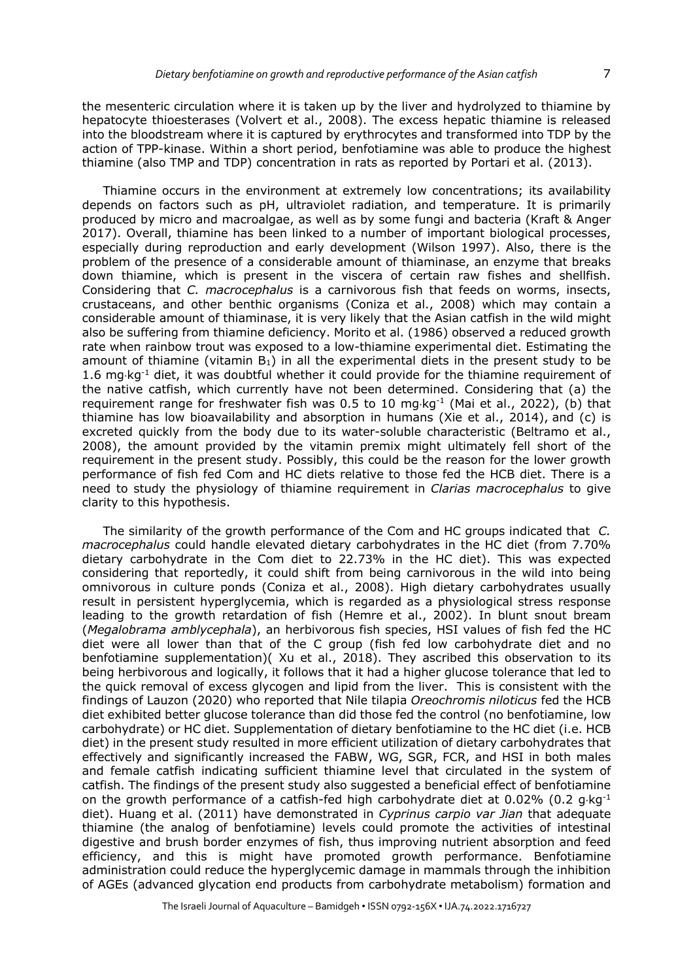the mesenteric circulation where it is taken up by the liver and hydrolyzed to thiamine by hepatocyte thioesterases (Volvert et al., 2008). The excess hepatic thiamine is released into the bloodstream where it is captured by erythrocytes and transformed into TDP by the action of TPP-kinase. Within a short period, benfotiamine was able to produce the highest thiamine (also TMP and TDP) concentration in rats as reported by Portari et al. (2013).

Thiamine occurs in the environment at extremely low concentrations; its availability depends on factors such as pH, ultraviolet radiation, and temperature. It is primarily produced by micro and macroalgae, as well as by some fungi and bacteria (Kraft & Anger 2017). Overall, thiamine has been linked to a number of important biological processes, especially during reproduction and early development (Wilson 1997). Also, there is the problem of the presence of a considerable amount of thiaminase, an enzyme that breaks down thiamine, which is present in the viscera of certain raw fishes and shellfish. Considering that *C. macrocephalus* is a carnivorous fish that feeds on worms, insects, crustaceans, and other benthic organisms (Coniza et al., 2008) which may contain a considerable amount of thiaminase, it is very likely that the Asian catfish in the wild might also be suffering from thiamine deficiency. Morito et al. (1986) observed a reduced growth rate when rainbow trout was exposed to a low-thiamine experimental diet. Estimating the amount of thiamine (vitamin  $B_1$ ) in all the experimental diets in the present study to be 1.6 mg $kg<sup>-1</sup>$  diet, it was doubtful whether it could provide for the thiamine requirement of the native catfish, which currently have not been determined. Considering that (a) the requirement range for freshwater fish was 0.5 to 10 mg·kg<sup>-1</sup> (Mai et al., 2022), (b) that thiamine has low bioavailability and absorption in humans (Xie et al., 2014), and (c) is excreted quickly from the body due to its water-soluble characteristic (Beltramo et al., 2008), the amount provided by the vitamin premix might ultimately fell short of the requirement in the present study. Possibly, this could be the reason for the lower growth performance of fish fed Com and HC diets relative to those fed the HCB diet. There is a need to study the physiology of thiamine requirement in *Clarias macrocephalus* to give clarity to this hypothesis.

The similarity of the growth performance of the Com and HC groups indicated that *C. macrocephalus* could handle elevated dietary carbohydrates in the HC diet (from 7.70% dietary carbohydrate in the Com diet to 22.73% in the HC diet). This was expected considering that reportedly, it could shift from being carnivorous in the wild into being omnivorous in culture ponds (Coniza et al., 2008). High dietary carbohydrates usually result in persistent hyperglycemia, which is regarded as a physiological stress response leading to the growth retardation of fish (Hemre et al., 2002). In blunt snout bream (*Megalobrama amblycephala*), an herbivorous fish species, HSI values of fish fed the HC diet were all lower than that of the C group (fish fed low carbohydrate diet and no benfotiamine supplementation)( Xu et al., 2018). They ascribed this observation to its being herbivorous and logically, it follows that it had a higher glucose tolerance that led to the quick removal of excess glycogen and lipid from the liver. This is consistent with the findings of Lauzon (2020) who reported that Nile tilapia *Oreochromis niloticus* fed the HCB diet exhibited better glucose tolerance than did those fed the control (no benfotiamine, low carbohydrate) or HC diet. Supplementation of dietary benfotiamine to the HC diet (i.e. HCB diet) in the present study resulted in more efficient utilization of dietary carbohydrates that effectively and significantly increased the FABW, WG, SGR, FCR, and HSI in both males and female catfish indicating sufficient thiamine level that circulated in the system of catfish. The findings of the present study also suggested a beneficial effect of benfotiamine on the growth performance of a catfish-fed high carbohydrate diet at 0.02% (0.2  $q$ ·kg<sup>-1</sup> diet). Huang et al. (2011) have demonstrated in *Cyprinus carpio var Jian* that adequate thiamine (the analog of benfotiamine) levels could promote the activities of intestinal digestive and brush border enzymes of fish, thus improving nutrient absorption and feed efficiency, and this is might have promoted growth performance. Benfotiamine administration could reduce the hyperglycemic damage in mammals through the inhibition of AGEs (advanced glycation end products from carbohydrate metabolism) formation and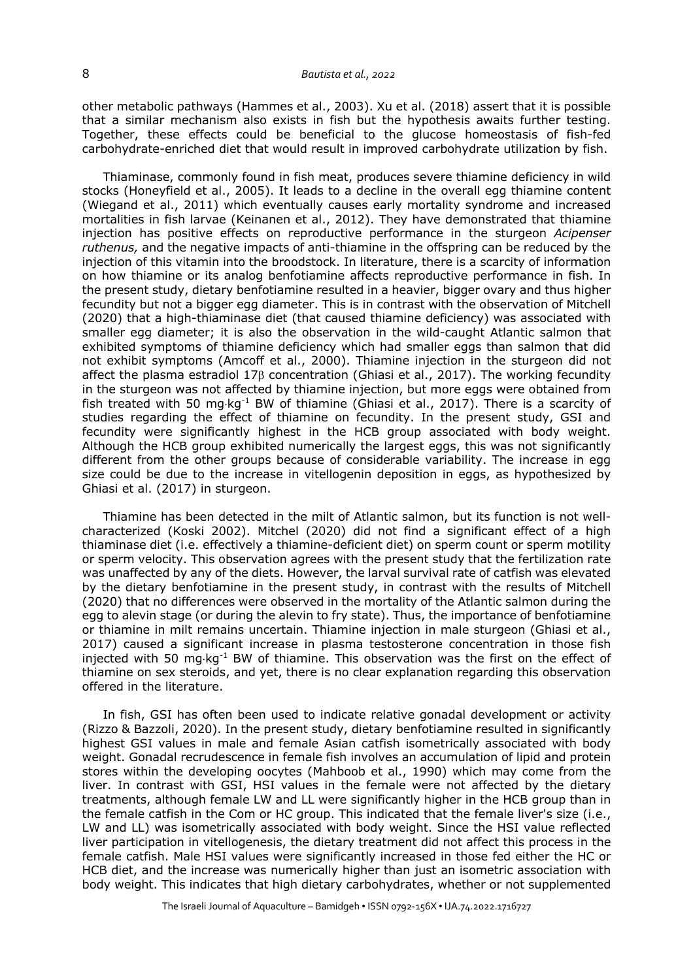other metabolic pathways (Hammes et al., 2003). Xu et al. (2018) assert that it is possible that a similar mechanism also exists in fish but the hypothesis awaits further testing. Together, these effects could be beneficial to the glucose homeostasis of fish-fed carbohydrate-enriched diet that would result in improved carbohydrate utilization by fish.

Thiaminase, commonly found in fish meat, produces severe thiamine deficiency in wild stocks (Honeyfield et al., 2005). It leads to a decline in the overall egg thiamine content (Wiegand et al., 2011) which eventually causes early mortality syndrome and increased mortalities in fish larvae (Keinanen et al., 2012). They have demonstrated that thiamine injection has positive effects on reproductive performance in the sturgeon *Acipenser ruthenus,* and the negative impacts of anti-thiamine in the offspring can be reduced by the injection of this vitamin into the broodstock. In literature, there is a scarcity of information on how thiamine or its analog benfotiamine affects reproductive performance in fish. In the present study, dietary benfotiamine resulted in a heavier, bigger ovary and thus higher fecundity but not a bigger egg diameter. This is in contrast with the observation of Mitchell (2020) that a high-thiaminase diet (that caused thiamine deficiency) was associated with smaller egg diameter; it is also the observation in the wild-caught Atlantic salmon that exhibited symptoms of thiamine deficiency which had smaller eggs than salmon that did not exhibit symptoms (Amcoff et al., 2000). Thiamine injection in the sturgeon did not affect the plasma estradiol  $17\beta$  concentration (Ghiasi et al., 2017). The working fecundity in the sturgeon was not affected by thiamine injection, but more eggs were obtained from fish treated with 50 mg·kg<sup>-1</sup> BW of thiamine (Ghiasi et al., 2017). There is a scarcity of studies regarding the effect of thiamine on fecundity. In the present study, GSI and fecundity were significantly highest in the HCB group associated with body weight. Although the HCB group exhibited numerically the largest eggs, this was not significantly different from the other groups because of considerable variability. The increase in egg size could be due to the increase in vitellogenin deposition in eggs, as hypothesized by Ghiasi et al. (2017) in sturgeon.

Thiamine has been detected in the milt of Atlantic salmon, but its function is not wellcharacterized (Koski 2002). Mitchel (2020) did not find a significant effect of a high thiaminase diet (i.e. effectively a thiamine-deficient diet) on sperm count or sperm motility or sperm velocity. This observation agrees with the present study that the fertilization rate was unaffected by any of the diets. However, the larval survival rate of catfish was elevated by the dietary benfotiamine in the present study, in contrast with the results of Mitchell (2020) that no differences were observed in the mortality of the Atlantic salmon during the egg to alevin stage (or during the alevin to fry state). Thus, the importance of benfotiamine or thiamine in milt remains uncertain. Thiamine injection in male sturgeon (Ghiasi et al., 2017) caused a significant increase in plasma testosterone concentration in those fish injected with 50 mg·kg<sup>-1</sup> BW of thiamine. This observation was the first on the effect of thiamine on sex steroids, and yet, there is no clear explanation regarding this observation offered in the literature.

In fish, GSI has often been used to indicate relative gonadal development or activity (Rizzo & Bazzoli, 2020). In the present study, dietary benfotiamine resulted in significantly highest GSI values in male and female Asian catfish isometrically associated with body weight. Gonadal recrudescence in female fish involves an accumulation of lipid and protein stores within the developing oocytes (Mahboob et al., 1990) which may come from the liver. In contrast with GSI, HSI values in the female were not affected by the dietary treatments, although female LW and LL were significantly higher in the HCB group than in the female catfish in the Com or HC group. This indicated that the female liver's size (i.e., LW and LL) was isometrically associated with body weight. Since the HSI value reflected liver participation in vitellogenesis, the dietary treatment did not affect this process in the female catfish. Male HSI values were significantly increased in those fed either the HC or HCB diet, and the increase was numerically higher than just an isometric association with body weight. This indicates that high dietary carbohydrates, whether or not supplemented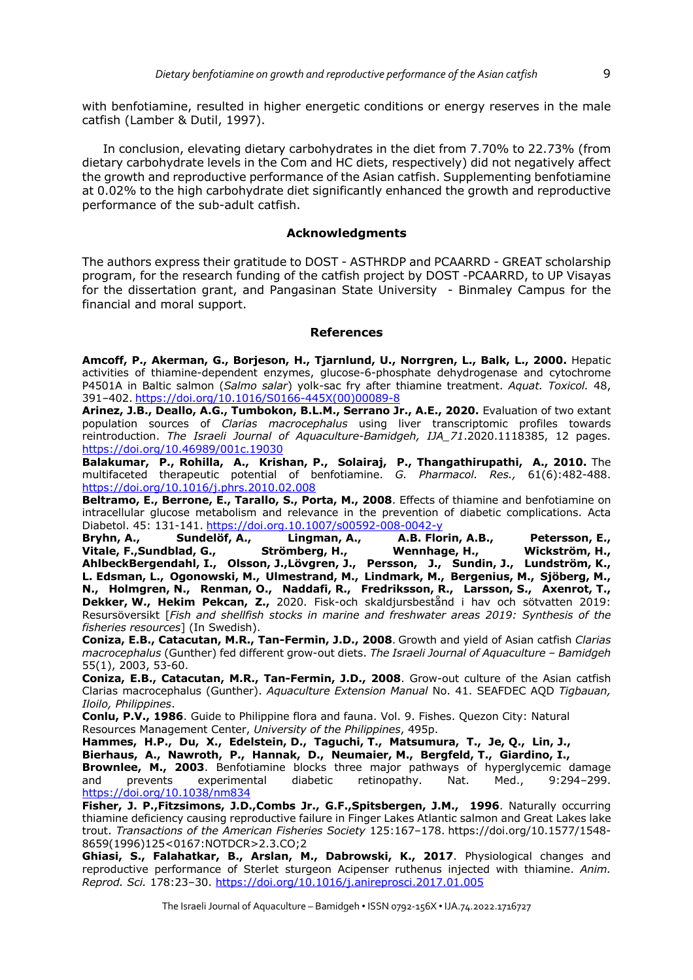with benfotiamine, resulted in higher energetic conditions or energy reserves in the male catfish (Lamber & Dutil, 1997).

In conclusion, elevating dietary carbohydrates in the diet from 7.70% to 22.73% (from dietary carbohydrate levels in the Com and HC diets, respectively) did not negatively affect the growth and reproductive performance of the Asian catfish. Supplementing benfotiamine at 0.02% to the high carbohydrate diet significantly enhanced the growth and reproductive performance of the sub-adult catfish.

## **Acknowledgments**

The authors express their gratitude to DOST - ASTHRDP and PCAARRD - GREAT scholarship program, for the research funding of the catfish project by DOST -PCAARRD, to UP Visayas for the dissertation grant, and Pangasinan State University - Binmaley Campus for the financial and moral support.

## **References**

**Amcoff, P., Akerman, G., Borjeson, H., Tjarnlund, U., Norrgren, L., Balk, L., 2000.** Hepatic activities of thiamine-dependent enzymes, glucose-6-phosphate dehydrogenase and cytochrome P4501A in Baltic salmon (*Salmo salar*) yolk-sac fry after thiamine treatment. *Aquat. Toxicol.* 48, 391–402. https://doi.org/10.1016/S0166-445X(00)00089-8

**Arinez, J.B., Deallo, A.G., Tumbokon, B.L.M., Serrano Jr., A.E., 2020.** Evaluation of two extant population sources of *Clarias macrocephalus* using liver transcriptomic profiles towards reintroduction. *The Israeli Journal of Aquaculture-Bamidgeh, IJA\_71*.2020.1118385, 12 pages. https://doi.org/10.46989/001c.19030

**Balakumar, P., Rohilla, A., Krishan, P., Solairaj, P., Thangathirupathi, A., 2010.** The multifaceted therapeutic potential of benfotiamine. *G. Pharmacol. Res.,* 61(6):482-488. https://doi.org/10.1016/j.phrs.2010.02.008

**Beltramo, E., Berrone, E., Tarallo, S., Porta, M., 2008**. Effects of thiamine and benfotiamine on intracellular glucose metabolism and relevance in the prevention of diabetic complications. Acta Diabetol. 45: 131-141. https://doi.org.10.1007/s00592-008-0042-y<br>**Bryhn, A., Sundelöf, A., Lingman, A., A.B. Flo**r

**Bryhn, A., Sundelöf, A., Lingman, A., A.B. Florin, A.B., Petersson, E., Vitale, F.,Sundblad, G., Strömberg, H., Wennhage, H., Wickström, H., AhlbeckBergendahl, I., Olsson, J.,Lövgren, J., Persson, J., Sundin, J., Lundström, K., L. Edsman, L., Ogonowski, M., Ulmestrand, M., Lindmark, M., Bergenius, M., Sjöberg, M., N., Holmgren, N., Renman, O., Naddafi, R., Fredriksson, R., Larsson, S., Axenrot, T., Dekker, W., Hekim Pekcan, Z.,** 2020. Fisk-och skaldjursbestånd i hav och sötvatten 2019: Resursöversikt [*Fish and shellfish stocks in marine and freshwater areas 2019: Synthesis of the fisheries resources*] (In Swedish).

**Coniza, E.B., Catacutan, M.R., Tan-Fermin, J.D., 2008**. Growth and yield of Asian catfish *Clarias macrocephalus* (Gunther) fed different grow-out diets. *The Israeli Journal of Aquaculture – Bamidgeh* 55(1), 2003, 53-60.

**Coniza, E.B., Catacutan, M.R., Tan-Fermin, J.D., 2008**. Grow-out culture of the Asian catfish Clarias macrocephalus (Gunther). *Aquaculture Extension Manual* No. 41. SEAFDEC AQD *Tigbauan, Iloilo, Philippines*.

**Conlu, P.V., 1986**. Guide to Philippine flora and fauna. Vol. 9. Fishes. Quezon City: Natural Resources Management Center, *University of the Philippines*, 495p.

**Hammes, H.P., Du, X., Edelstein, D., Taguchi, T., Matsumura, T., Je, Q., Lin, J., Bierhaus, A., Nawroth, P., Hannak, D., Neumaier, M., Bergfeld, T., Giardino, I., Brownlee, M., 2003**. Benfotiamine blocks three major pathways of hyperglycemic damage

and prevents experimental diabetic retinopathy. Nat. Med., 9:294–299. https://doi.org/10.1038/nm834

**Fisher, J. P.,Fitzsimons, J.D.,Combs Jr., G.F.,Spitsbergen, J.M., 1996**. Naturally occurring thiamine deficiency causing reproductive failure in Finger Lakes Atlantic salmon and Great Lakes lake trout. *Transactions of the American Fisheries Society* 125:167–178. https://doi.org/10.1577/1548- 8659(1996)125<0167:NOTDCR>2.3.CO;2

**Ghiasi, S., Falahatkar, B., Arslan, M., Dabrowski, K., 2017**. Physiological changes and reproductive performance of Sterlet sturgeon Acipenser ruthenus injected with thiamine. *Anim. Reprod. Sci.* 178:23–30. https://doi.org/10.1016/j.anireprosci.2017.01.005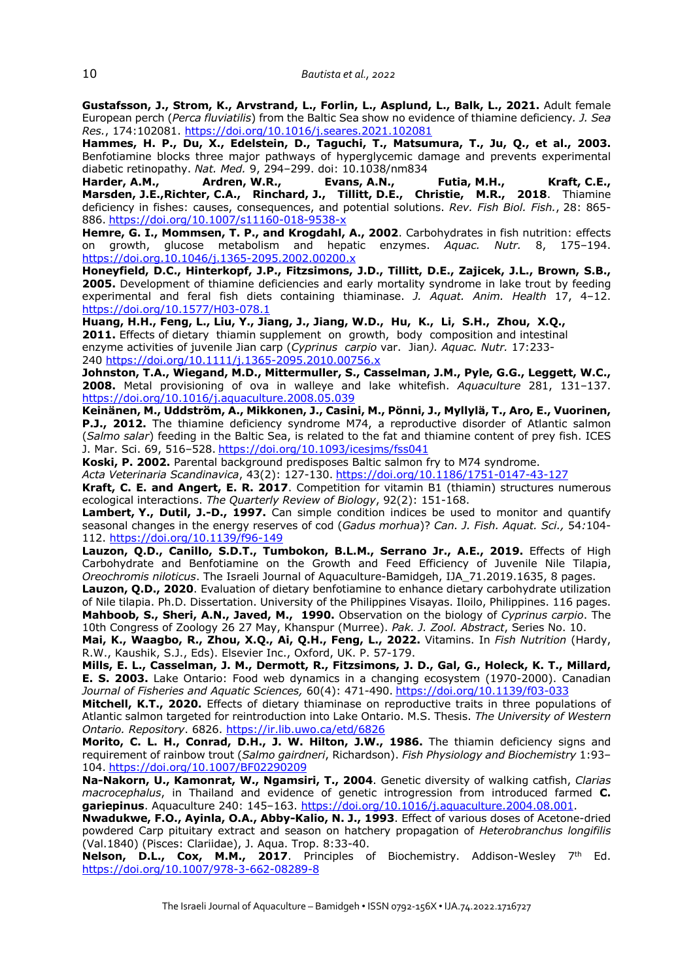**Gustafsson, J., Strom, K., Arvstrand, L., Forlin, L., Asplund, L., Balk, L., 2021.** Adult female European perch (*Perca fluviatilis*) from the Baltic Sea show no evidence of thiamine deficiency*. J. Sea Res.*, 174:102081. https://doi.org/10.1016/j.seares.2021.102081

**Hammes, H. P., Du, X., Edelstein, D., Taguchi, T., Matsumura, T., Ju, Q., et al., 2003.** Benfotiamine blocks three major pathways of hyperglycemic damage and prevents experimental diabetic retinopathy. *Nat. Med.* 9, 294–299. doi: 10.1038/nm834

**Harder, A.M., Ardren, W.R., Evans, A.N., Futia, M.H., Kraft, C.E., Marsden, J.E.,Richter, C.A., Rinchard, J., Tillitt, D.E., Christie, M.R., 2018**. Thiamine deficiency in fishes: causes, consequences, and potential solutions. *Rev. Fish Biol. Fish.*, 28: 865- 886. https://doi.org/10.1007/s11160-018-9538-x

**Hemre, G. I., Mommsen, T. P., and Krogdahl, A., 2002**. Carbohydrates in fish nutrition: effects on growth, glucose metabolism and hepatic enzymes. *Aquac. Nutr.* 8, 175–194. https://doi.org.10.1046/j.1365-2095.2002.00200.x

**Honeyfield, D.C., Hinterkopf, J.P., Fitzsimons, J.D., Tillitt, D.E., Zajicek, J.L., Brown, S.B., 2005.** Development of thiamine deficiencies and early mortality syndrome in lake trout by feeding experimental and feral fish diets containing thiaminase. *J. Aquat. Anim. Health* 17, 4–12. https://doi.org/10.1577/H03-078.1

**Huang, H.H., Feng, L., Liu, Y., Jiang, J., Jiang, W.D., Hu, K., Li, S.H., Zhou, X.Q., 2011.** Effects of dietary thiamin supplement on growth, body composition and intestinal enzyme activities of juvenile Jian carp (*Cyprinus carpio* var. Jian*). Aquac. Nutr.* 17:233- 240 https://doi.org/10.1111/j.1365-2095.2010.00756.x

**Johnston, T.A., Wiegand, M.D., Mittermuller, S., Casselman, J.M., Pyle, G.G., Leggett, W.C., 2008.** Metal provisioning of ova in walleye and lake whitefish. *Aquaculture* 281, 131–137. https://doi.org/10.1016/j.aquaculture.2008.05.039

**Keinänen, M., Uddström, A., Mikkonen, J., Casini, M., Pönni, J., Myllylä, T., Aro, E., Vuorinen, P.J., 2012.** The thiamine deficiency syndrome M74, a reproductive disorder of Atlantic salmon (*Salmo salar*) feeding in the Baltic Sea, is related to the fat and thiamine content of prey fish. ICES J. Mar. Sci. 69, 516–528. https://doi.org/10.1093/icesjms/fss041

**Koski, P. 2002.** Parental background predisposes Baltic salmon fry to M74 syndrome.

*Acta Veterinaria Scandinavica*, 43(2): 127-130. https://doi.org/10.1186/1751-0147-43-127

**Kraft, C. E. and Angert, E. R. 2017**. Competition for vitamin B1 (thiamin) structures numerous ecological interactions. *The Quarterly Review of Biology*, 92(2): 151-168.

**Lambert, Y., Dutil, J.-D., 1997.** Can simple condition indices be used to monitor and quantify seasonal changes in the energy reserves of cod (*Gadus morhua*)? *Can. J. Fish. Aquat. Sci.,* 54*:*104- 112. https://doi.org/10.1139/f96-149

**Lauzon, Q.D., Canillo, S.D.T., Tumbokon, B.L.M., Serrano Jr., A.E., 2019.** Effects of High Carbohydrate and Benfotiamine on the Growth and Feed Efficiency of Juvenile Nile Tilapia, *Oreochromis niloticus*. The Israeli Journal of Aquaculture-Bamidgeh, IJA\_71.2019.1635, 8 pages.

**Lauzon, Q.D., 2020**. Evaluation of dietary benfotiamine to enhance dietary carbohydrate utilization of Nile tilapia. Ph.D. Dissertation. University of the Philippines Visayas. Iloilo, Philippines. 116 pages. **Mahboob, S., Sheri, A.N., Javed, M., 1990.** Observation on the biology of *Cyprinus carpio*. The 10th Congress of Zoology 26 27 May, Khanspur (Murree). *Pak. J. Zool. Abstract*, Series No. 10.

**Mai, K., Waagbo, R., Zhou, X.Q., Ai, Q.H., Feng, L., 2022.** Vitamins. In *Fish Nutrition* (Hardy, R.W., Kaushik, S.J., Eds). Elsevier Inc., Oxford, UK. P. 57-179.

**Mills, E. L., Casselman, J. M., Dermott, R., Fitzsimons, J. D., Gal, G., Holeck, K. T., Millard, E. S. 2003.** Lake Ontario: Food web dynamics in a changing ecosystem (1970-2000). Canadian *Journal of Fisheries and Aquatic Sciences,* 60(4): 471-490. https://doi.org/10.1139/f03-033

**Mitchell, K.T., 2020.** Effects of dietary thiaminase on reproductive traits in three populations of Atlantic salmon targeted for reintroduction into Lake Ontario. M.S. Thesis. *The University of Western Ontario. Repository*. 6826. https://ir.lib.uwo.ca/etd/6826

**Morito, C. L. H., Conrad, D.H., J. W. Hilton, J.W., 1986.** The thiamin deficiency signs and requirement of rainbow trout (*Salmo gairdneri*, Richardson). *Fish Physiology and Biochemistry* 1:93– 104. https://doi.org/10.1007/BF02290209

**Na-Nakorn, U., Kamonrat, W., Ngamsiri, T., 2004**. Genetic diversity of walking catfish, *Clarias macrocephalus*, in Thailand and evidence of genetic introgression from introduced farmed **C. gariepinus**. Aquaculture 240: 145–163. https://doi.org/10.1016/j.aquaculture.2004.08.001.

**Nwadukwe, F.O., Ayinla, O.A., Abby-Kalio, N. J., 1993**. Effect of various doses of Acetone-dried powdered Carp pituitary extract and season on hatchery propagation of *Heterobranchus longifilis* (Val.1840) (Pisces: Clariidae), J. Aqua. Trop. 8:33-40.

**Nelson, D.L., Cox, M.M., 2017**. Principles of Biochemistry. Addison-Wesley 7<sup>th</sup> Ed. https://doi.org/10.1007/978-3-662-08289-8

The Israeli Journal of Aquaculture – Bamidgeh • ISSN 0792-156X • IJA.74.2022.1716727